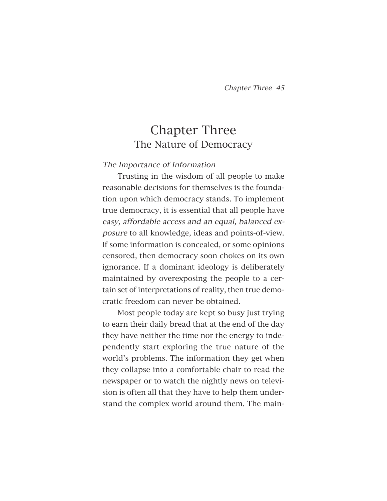# Chapter Three The Nature of Democracy

## The Importance of Information

Trusting in the wisdom of all people to make reasonable decisions for themselves is the foundation upon which democracy stands. To implement true democracy, it is essential that all people have easy, affordable access and an equal, balanced exposure to all knowledge, ideas and points-of-view. If some information is concealed, or some opinions censored, then democracy soon chokes on its own ignorance. If a dominant ideology is deliberately maintained by overexposing the people to a certain set of interpretations of reality, then true democratic freedom can never be obtained.

Most people today are kept so busy just trying to earn their daily bread that at the end of the day they have neither the time nor the energy to independently start exploring the true nature of the world's problems. The information they get when they collapse into a comfortable chair to read the newspaper or to watch the nightly news on television is often all that they have to help them understand the complex world around them. The main-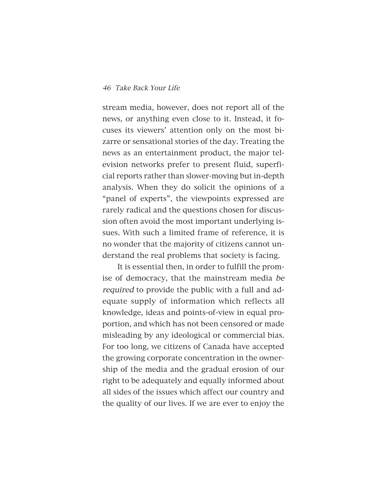stream media, however, does not report all of the news, or anything even close to it. Instead, it focuses its viewers' attention only on the most bizarre or sensational stories of the day. Treating the news as an entertainment product, the major television networks prefer to present fluid, superficial reports rather than slower-moving but in-depth analysis. When they do solicit the opinions of a "panel of experts", the viewpoints expressed are rarely radical and the questions chosen for discussion often avoid the most important underlying issues. With such a limited frame of reference, it is no wonder that the majority of citizens cannot understand the real problems that society is facing.

It is essential then, in order to fulfill the promise of democracy, that the mainstream media be required to provide the public with a full and adequate supply of information which reflects all knowledge, ideas and points-of-view in equal proportion, and which has not been censored or made misleading by any ideological or commercial bias. For too long, we citizens of Canada have accepted the growing corporate concentration in the ownership of the media and the gradual erosion of our right to be adequately and equally informed about all sides of the issues which affect our country and the quality of our lives. If we are ever to enjoy the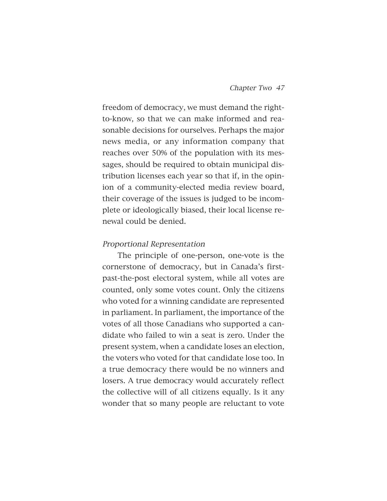freedom of democracy, we must demand the rightto-know, so that we can make informed and reasonable decisions for ourselves. Perhaps the major news media, or any information company that reaches over 50% of the population with its messages, should be required to obtain municipal distribution licenses each year so that if, in the opinion of a community-elected media review board, their coverage of the issues is judged to be incomplete or ideologically biased, their local license renewal could be denied.

#### Proportional Representation

The principle of one-person, one-vote is the cornerstone of democracy, but in Canada's firstpast-the-post electoral system, while all votes are counted, only some votes count. Only the citizens who voted for a winning candidate are represented in parliament. In parliament, the importance of the votes of all those Canadians who supported a candidate who failed to win a seat is zero. Under the present system, when a candidate loses an election, the voters who voted for that candidate lose too. In a true democracy there would be no winners and losers. A true democracy would accurately reflect the collective will of all citizens equally. Is it any wonder that so many people are reluctant to vote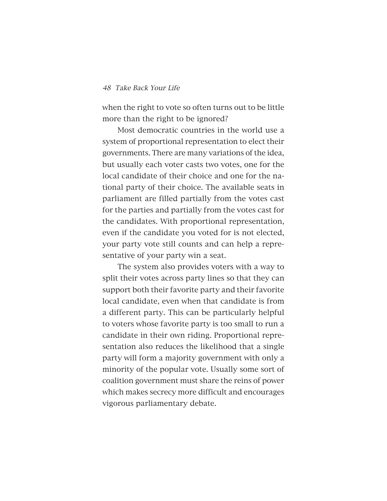when the right to vote so often turns out to be little more than the right to be ignored?

Most democratic countries in the world use a system of proportional representation to elect their governments. There are many variations of the idea, but usually each voter casts two votes, one for the local candidate of their choice and one for the national party of their choice. The available seats in parliament are filled partially from the votes cast for the parties and partially from the votes cast for the candidates. With proportional representation, even if the candidate you voted for is not elected, your party vote still counts and can help a representative of your party win a seat.

The system also provides voters with a way to split their votes across party lines so that they can support both their favorite party and their favorite local candidate, even when that candidate is from a different party. This can be particularly helpful to voters whose favorite party is too small to run a candidate in their own riding. Proportional representation also reduces the likelihood that a single party will form a majority government with only a minority of the popular vote. Usually some sort of coalition government must share the reins of power which makes secrecy more difficult and encourages vigorous parliamentary debate.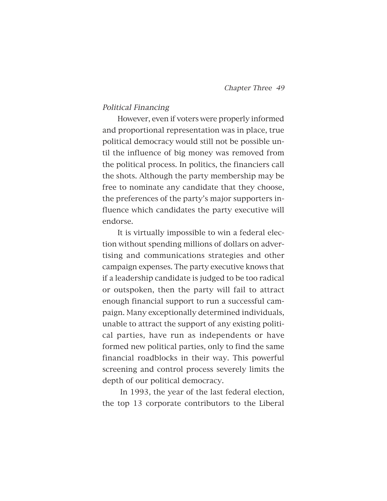#### Political Financing

However, even if voters were properly informed and proportional representation was in place, true political democracy would still not be possible until the influence of big money was removed from the political process. In politics, the financiers call the shots. Although the party membership may be free to nominate any candidate that they choose, the preferences of the party's major supporters influence which candidates the party executive will endorse.

It is virtually impossible to win a federal election without spending millions of dollars on advertising and communications strategies and other campaign expenses. The party executive knows that if a leadership candidate is judged to be too radical or outspoken, then the party will fail to attract enough financial support to run a successful campaign. Many exceptionally determined individuals, unable to attract the support of any existing political parties, have run as independents or have formed new political parties, only to find the same financial roadblocks in their way. This powerful screening and control process severely limits the depth of our political democracy.

In 1993, the year of the last federal election, the top 13 corporate contributors to the Liberal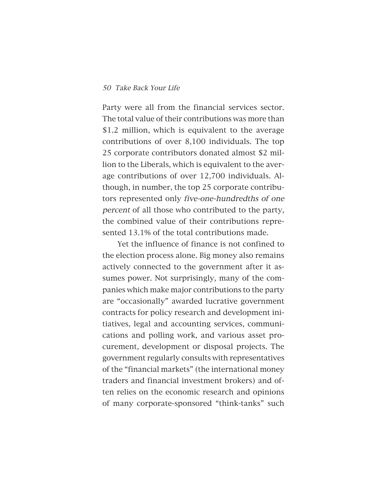Party were all from the financial services sector. The total value of their contributions was more than \$1.2 million, which is equivalent to the average contributions of over 8,100 individuals. The top 25 corporate contributors donated almost \$2 million to the Liberals, which is equivalent to the average contributions of over 12,700 individuals. Although, in number, the top 25 corporate contributors represented only five-one-hundredths of one percent of all those who contributed to the party, the combined value of their contributions represented 13.1% of the total contributions made.

Yet the influence of finance is not confined to the election process alone. Big money also remains actively connected to the government after it assumes power. Not surprisingly, many of the companies which make major contributions to the party are "occasionally" awarded lucrative government contracts for policy research and development initiatives, legal and accounting services, communications and polling work, and various asset procurement, development or disposal projects. The government regularly consults with representatives of the "financial markets" (the international money traders and financial investment brokers) and often relies on the economic research and opinions of many corporate-sponsored "think-tanks" such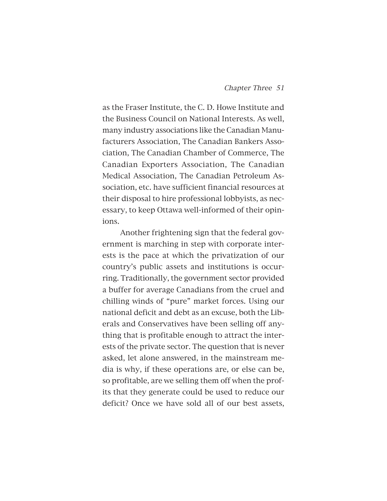as the Fraser Institute, the C. D. Howe Institute and the Business Council on National Interests. As well, many industry associations like the Canadian Manufacturers Association, The Canadian Bankers Association, The Canadian Chamber of Commerce, The Canadian Exporters Association, The Canadian Medical Association, The Canadian Petroleum Association, etc. have sufficient financial resources at their disposal to hire professional lobbyists, as necessary, to keep Ottawa well-informed of their opinions.

Another frightening sign that the federal government is marching in step with corporate interests is the pace at which the privatization of our country's public assets and institutions is occurring. Traditionally, the government sector provided a buffer for average Canadians from the cruel and chilling winds of "pure" market forces. Using our national deficit and debt as an excuse, both the Liberals and Conservatives have been selling off anything that is profitable enough to attract the interests of the private sector. The question that is never asked, let alone answered, in the mainstream media is why, if these operations are, or else can be, so profitable, are we selling them off when the profits that they generate could be used to reduce our deficit? Once we have sold all of our best assets,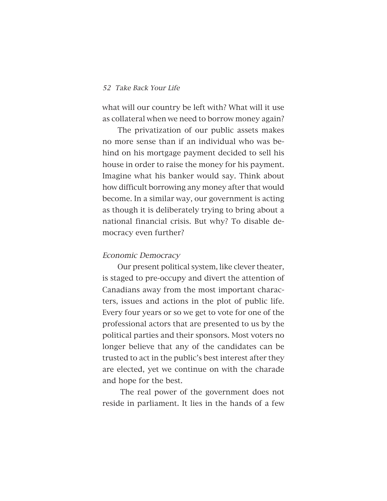what will our country be left with? What will it use as collateral when we need to borrow money again?

The privatization of our public assets makes no more sense than if an individual who was behind on his mortgage payment decided to sell his house in order to raise the money for his payment. Imagine what his banker would say. Think about how difficult borrowing any money after that would become. In a similar way, our government is acting as though it is deliberately trying to bring about a national financial crisis. But why? To disable democracy even further?

#### Economic Democracy

Our present political system, like clever theater, is staged to pre-occupy and divert the attention of Canadians away from the most important characters, issues and actions in the plot of public life. Every four years or so we get to vote for one of the professional actors that are presented to us by the political parties and their sponsors. Most voters no longer believe that any of the candidates can be trusted to act in the public's best interest after they are elected, yet we continue on with the charade and hope for the best.

The real power of the government does not reside in parliament. It lies in the hands of a few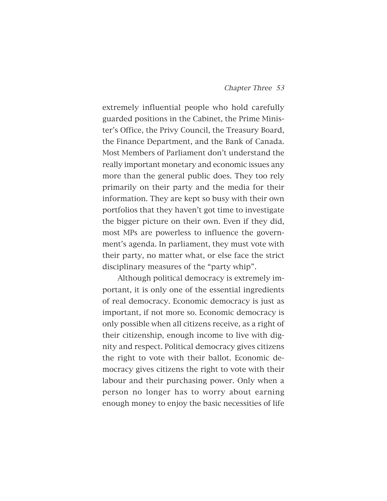extremely influential people who hold carefully guarded positions in the Cabinet, the Prime Minister's Office, the Privy Council, the Treasury Board, the Finance Department, and the Bank of Canada. Most Members of Parliament don't understand the really important monetary and economic issues any more than the general public does. They too rely primarily on their party and the media for their information. They are kept so busy with their own portfolios that they haven't got time to investigate the bigger picture on their own. Even if they did, most MPs are powerless to influence the government's agenda. In parliament, they must vote with their party, no matter what, or else face the strict disciplinary measures of the "party whip".

Although political democracy is extremely important, it is only one of the essential ingredients of real democracy. Economic democracy is just as important, if not more so. Economic democracy is only possible when all citizens receive, as a right of their citizenship, enough income to live with dignity and respect. Political democracy gives citizens the right to vote with their ballot. Economic democracy gives citizens the right to vote with their labour and their purchasing power. Only when a person no longer has to worry about earning enough money to enjoy the basic necessities of life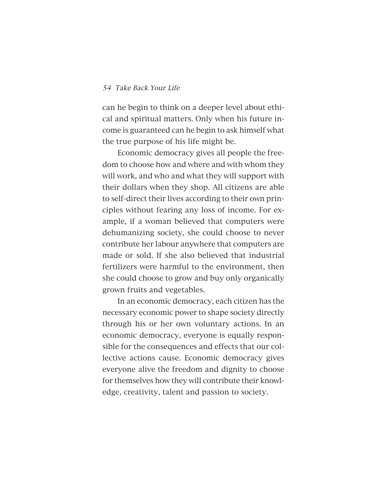can he begin to think on a deeper level about ethical and spiritual matters. Only when his future income is guaranteed can he begin to ask himself what the true purpose of his life might be.

Economic democracy gives all people the freedom to choose how and where and with whom they will work, and who and what they will support with their dollars when they shop. All citizens are able to self-direct their lives according to their own principles without fearing any loss of income. For example, if a woman believed that computers were dehumanizing society, she could choose to never contribute her labour anywhere that computers are made or sold. If she also believed that industrial fertilizers were harmful to the environment, then she could choose to grow and buy only organically grown fruits and vegetables.

In an economic democracy, each citizen has the necessary economic power to shape society directly through his or her own voluntary actions. In an economic democracy, everyone is equally responsible for the consequences and effects that our collective actions cause. Economic democracy gives everyone alive the freedom and dignity to choose for themselves how they will contribute their knowledge, creativity, talent and passion to society.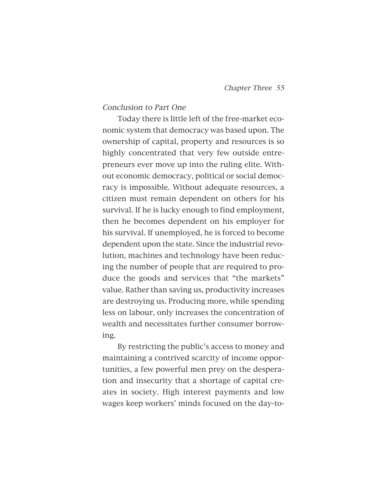#### Conclusion to Part One

Today there is little left of the free-market economic system that democracy was based upon. The ownership of capital, property and resources is so highly concentrated that very few outside entrepreneurs ever move up into the ruling elite. Without economic democracy, political or social democracy is impossible. Without adequate resources, a citizen must remain dependent on others for his survival. If he is lucky enough to find employment, then he becomes dependent on his employer for his survival. If unemployed, he is forced to become dependent upon the state. Since the industrial revolution, machines and technology have been reducing the number of people that are required to produce the goods and services that "the markets" value. Rather than saving us, productivity increases are destroying us. Producing more, while spending less on labour, only increases the concentration of wealth and necessitates further consumer borrowing.

By restricting the public's access to money and maintaining a contrived scarcity of income opportunities, a few powerful men prey on the desperation and insecurity that a shortage of capital creates in society. High interest payments and low wages keep workers' minds focused on the day-to-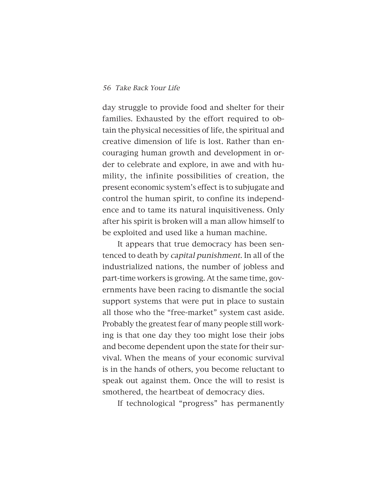day struggle to provide food and shelter for their families. Exhausted by the effort required to obtain the physical necessities of life, the spiritual and creative dimension of life is lost. Rather than encouraging human growth and development in order to celebrate and explore, in awe and with humility, the infinite possibilities of creation, the present economic system's effect is to subjugate and control the human spirit, to confine its independence and to tame its natural inquisitiveness. Only after his spirit is broken will a man allow himself to be exploited and used like a human machine.

It appears that true democracy has been sentenced to death by capital punishment. In all of the industrialized nations, the number of jobless and part-time workers is growing. At the same time, governments have been racing to dismantle the social support systems that were put in place to sustain all those who the "free-market" system cast aside. Probably the greatest fear of many people still working is that one day they too might lose their jobs and become dependent upon the state for their survival. When the means of your economic survival is in the hands of others, you become reluctant to speak out against them. Once the will to resist is smothered, the heartbeat of democracy dies.

If technological "progress" has permanently